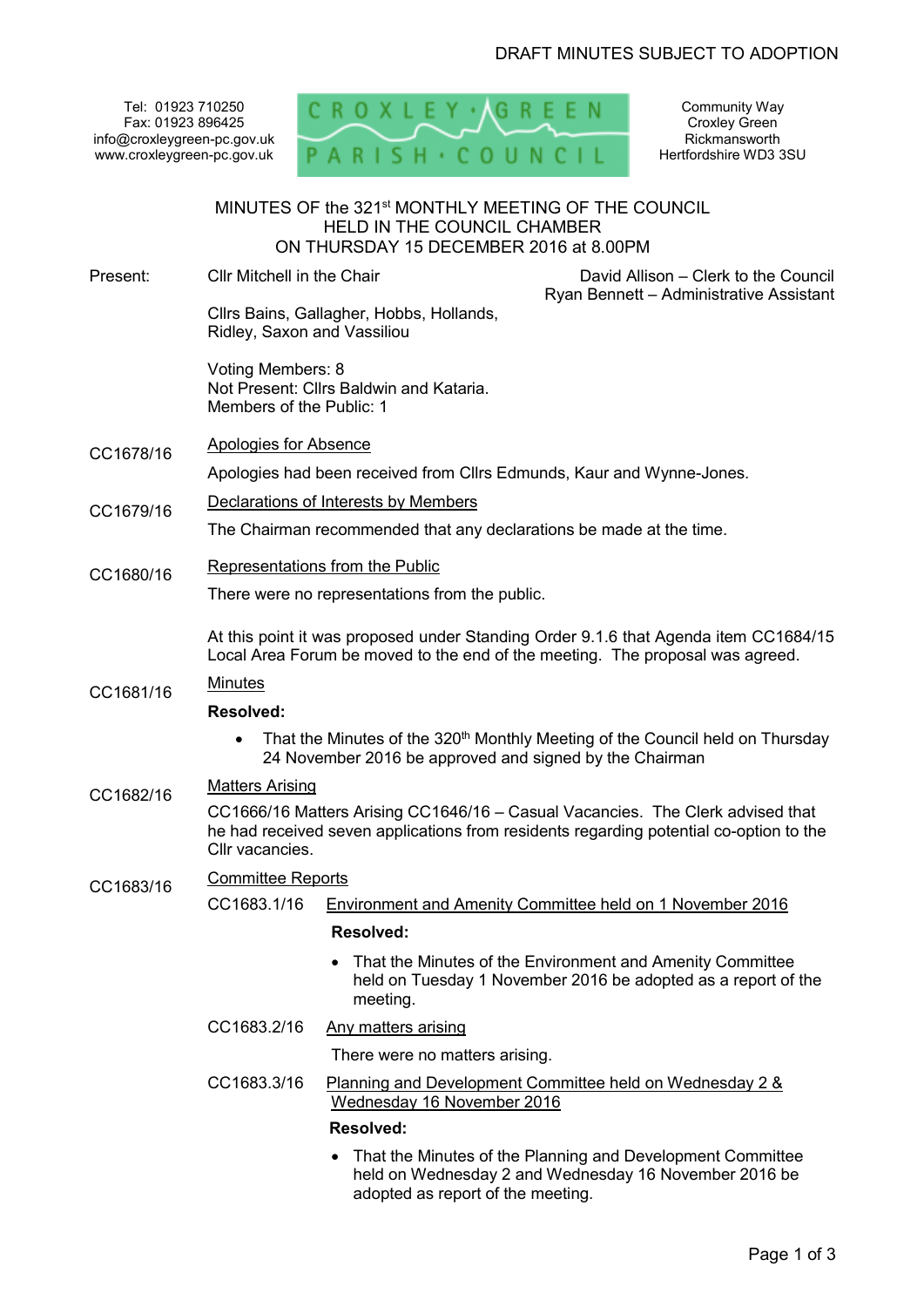Tel: 01923 710250 Fax: 01923 896425 info@croxleygreen-pc.gov.uk www.croxleygreen-pc.gov.uk



Community Way Croxley Green Rickmansworth Hertfordshire WD3 3SU

|           |                                                                                                                                                                                             | MINUTES OF the 321 <sup>st</sup> MONTHLY MEETING OF THE COUNCIL<br><b>HELD IN THE COUNCIL CHAMBER</b><br>ON THURSDAY 15 DECEMBER 2016 at 8.00PM |                                                                                                                            |
|-----------|---------------------------------------------------------------------------------------------------------------------------------------------------------------------------------------------|-------------------------------------------------------------------------------------------------------------------------------------------------|----------------------------------------------------------------------------------------------------------------------------|
| Present:  | Cllr Mitchell in the Chair                                                                                                                                                                  |                                                                                                                                                 | David Allison - Clerk to the Council                                                                                       |
|           | Ryan Bennett - Administrative Assistant<br>Cllrs Bains, Gallagher, Hobbs, Hollands,<br>Ridley, Saxon and Vassiliou                                                                          |                                                                                                                                                 |                                                                                                                            |
|           | Voting Members: 8<br>Members of the Public: 1                                                                                                                                               | Not Present: Cllrs Baldwin and Kataria.                                                                                                         |                                                                                                                            |
| CC1678/16 | <b>Apologies for Absence</b>                                                                                                                                                                |                                                                                                                                                 |                                                                                                                            |
|           | Apologies had been received from Cllrs Edmunds, Kaur and Wynne-Jones.                                                                                                                       |                                                                                                                                                 |                                                                                                                            |
| CC1679/16 | Declarations of Interests by Members                                                                                                                                                        |                                                                                                                                                 |                                                                                                                            |
|           | The Chairman recommended that any declarations be made at the time.                                                                                                                         |                                                                                                                                                 |                                                                                                                            |
| CC1680/16 | Representations from the Public                                                                                                                                                             |                                                                                                                                                 |                                                                                                                            |
|           | There were no representations from the public.                                                                                                                                              |                                                                                                                                                 |                                                                                                                            |
|           | At this point it was proposed under Standing Order 9.1.6 that Agenda item CC1684/15<br>Local Area Forum be moved to the end of the meeting. The proposal was agreed.                        |                                                                                                                                                 |                                                                                                                            |
| CC1681/16 | <b>Minutes</b>                                                                                                                                                                              |                                                                                                                                                 |                                                                                                                            |
|           | <b>Resolved:</b>                                                                                                                                                                            |                                                                                                                                                 |                                                                                                                            |
|           | That the Minutes of the 320 <sup>th</sup> Monthly Meeting of the Council held on Thursday<br>24 November 2016 be approved and signed by the Chairman                                        |                                                                                                                                                 |                                                                                                                            |
| CC1682/16 | <b>Matters Arising</b>                                                                                                                                                                      |                                                                                                                                                 |                                                                                                                            |
|           | CC1666/16 Matters Arising CC1646/16 - Casual Vacancies. The Clerk advised that<br>he had received seven applications from residents regarding potential co-option to the<br>Cllr vacancies. |                                                                                                                                                 |                                                                                                                            |
| CC1683/16 | <b>Committee Reports</b>                                                                                                                                                                    |                                                                                                                                                 |                                                                                                                            |
|           | CC1683.1/16                                                                                                                                                                                 |                                                                                                                                                 | Environment and Amenity Committee held on 1 November 2016                                                                  |
|           |                                                                                                                                                                                             | <b>Resolved:</b>                                                                                                                                |                                                                                                                            |
|           |                                                                                                                                                                                             | $\bullet$<br>meeting.                                                                                                                           | That the Minutes of the Environment and Amenity Committee<br>held on Tuesday 1 November 2016 be adopted as a report of the |
|           | CC1683.2/16                                                                                                                                                                                 | <b>Any matters arising</b>                                                                                                                      |                                                                                                                            |
|           |                                                                                                                                                                                             | There were no matters arising.                                                                                                                  |                                                                                                                            |
|           | CC1683.3/16                                                                                                                                                                                 | Wednesday 16 November 2016                                                                                                                      | Planning and Development Committee held on Wednesday 2 &                                                                   |
|           |                                                                                                                                                                                             | <b>Resolved:</b>                                                                                                                                |                                                                                                                            |
|           |                                                                                                                                                                                             |                                                                                                                                                 | • That the Minutes of the Planning and Development Committee                                                               |

• That the Minutes of the Planning and Development Committee held on Wednesday 2 and Wednesday 16 November 2016 be adopted as report of the meeting.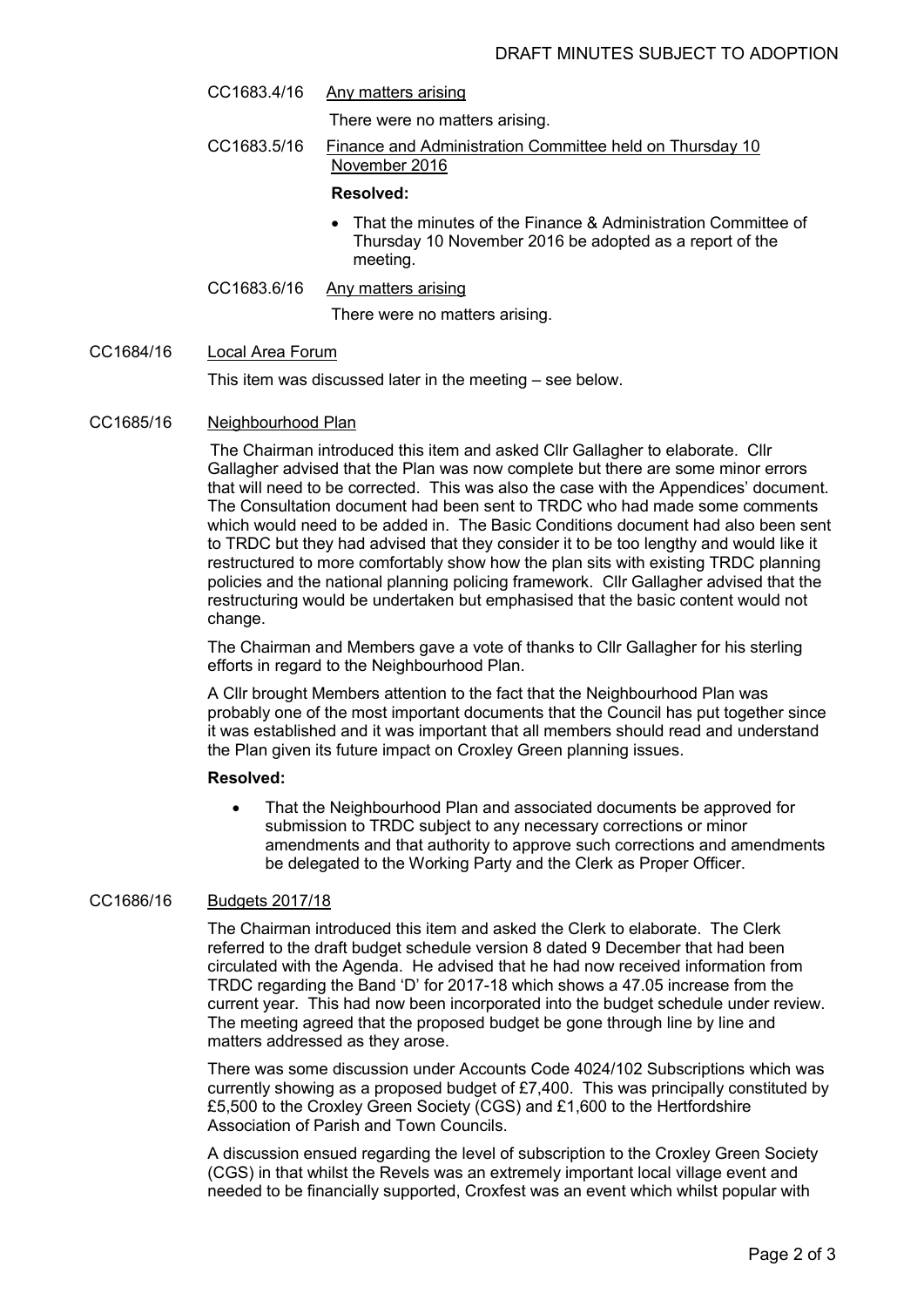CC1683.4/16 Any matters arising

There were no matters arising.

CC1683.5/16 Finance and Administration Committee held on Thursday 10 November 2016

## **Resolved:**

- That the minutes of the Finance & Administration Committee of Thursday 10 November 2016 be adopted as a report of the meeting.
- CC1683.6/16 Any matters arising

There were no matters arising.

## CC1684/16 Local Area Forum

This item was discussed later in the meeting – see below.

### CC1685/16 Neighbourhood Plan

The Chairman introduced this item and asked Cllr Gallagher to elaborate. Cllr Gallagher advised that the Plan was now complete but there are some minor errors that will need to be corrected. This was also the case with the Appendices' document. The Consultation document had been sent to TRDC who had made some comments which would need to be added in. The Basic Conditions document had also been sent to TRDC but they had advised that they consider it to be too lengthy and would like it restructured to more comfortably show how the plan sits with existing TRDC planning policies and the national planning policing framework. Cllr Gallagher advised that the restructuring would be undertaken but emphasised that the basic content would not change.

The Chairman and Members gave a vote of thanks to Cllr Gallagher for his sterling efforts in regard to the Neighbourhood Plan.

A Cllr brought Members attention to the fact that the Neighbourhood Plan was probably one of the most important documents that the Council has put together since it was established and it was important that all members should read and understand the Plan given its future impact on Croxley Green planning issues.

## **Resolved:**

• That the Neighbourhood Plan and associated documents be approved for submission to TRDC subject to any necessary corrections or minor amendments and that authority to approve such corrections and amendments be delegated to the Working Party and the Clerk as Proper Officer.

#### CC1686/16 Budgets 2017/18

The Chairman introduced this item and asked the Clerk to elaborate. The Clerk referred to the draft budget schedule version 8 dated 9 December that had been circulated with the Agenda. He advised that he had now received information from TRDC regarding the Band 'D' for 2017-18 which shows a 47.05 increase from the current year. This had now been incorporated into the budget schedule under review. The meeting agreed that the proposed budget be gone through line by line and matters addressed as they arose.

There was some discussion under Accounts Code 4024/102 Subscriptions which was currently showing as a proposed budget of £7,400. This was principally constituted by £5,500 to the Croxley Green Society (CGS) and £1,600 to the Hertfordshire Association of Parish and Town Councils.

A discussion ensued regarding the level of subscription to the Croxley Green Society (CGS) in that whilst the Revels was an extremely important local village event and needed to be financially supported, Croxfest was an event which whilst popular with